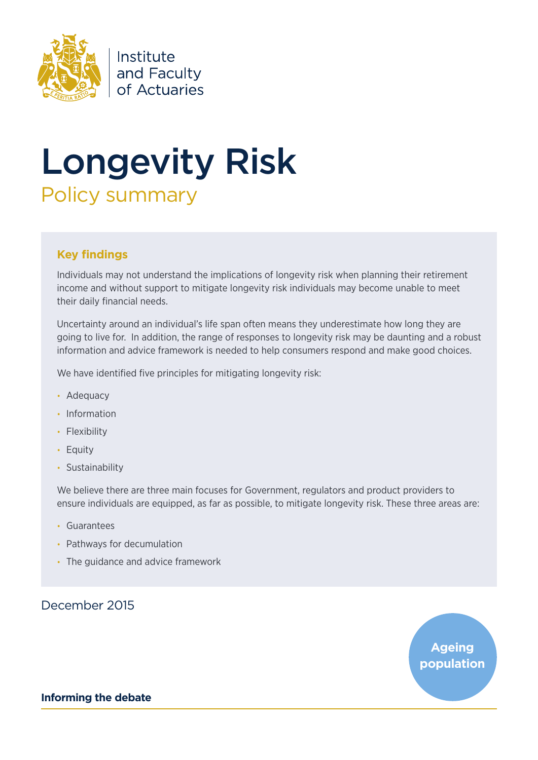

Institute and Faculty of Actuaries

# Longevity Risk Policy summary

# **Key findings**

Individuals may not understand the implications of longevity risk when planning their retirement income and without support to mitigate longevity risk individuals may become unable to meet their daily financial needs.

Uncertainty around an individual's life span often means they underestimate how long they are going to live for. In addition, the range of responses to longevity risk may be daunting and a robust information and advice framework is needed to help consumers respond and make good choices.

We have identified five principles for mitigating longevity risk:

- Adequacy
- Information
- Flexibility
- Equity
- Sustainability

We believe there are three main focuses for Government, regulators and product providers to ensure individuals are equipped, as far as possible, to mitigate longevity risk. These three areas are:

- • Guarantees
- Pathways for decumulation
- The quidance and advice framework

# December 2015

**Ageing population**

**Informing the debate**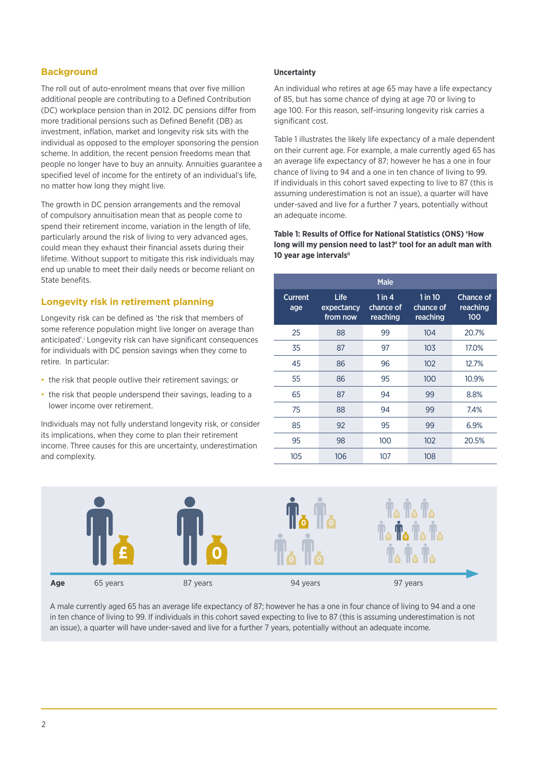# **Background**

The roll out of auto-enrolment means that over five million additional people are contributing to a Defined Contribution (DC) workplace pension than in 2012. DC pensions differ from more traditional pensions such as Defined Benefit (DB) as investment, inflation, market and longevity risk sits with the individual as opposed to the employer sponsoring the pension scheme. In addition, the recent pension freedoms mean that people no longer have to buy an annuity. Annuities guarantee a specified level of income for the entirety of an individual's life, no matter how long they might live.

The growth in DC pension arrangements and the removal of compulsory annuitisation mean that as people come to spend their retirement income, variation in the length of life, particularly around the risk of living to very advanced ages, could mean they exhaust their financial assets during their lifetime. Without support to mitigate this risk individuals may end up unable to meet their daily needs or become reliant on State benefits.

# **Longevity risk in retirement planning**

Longevity risk can be defined as 'the risk that members of some reference population might live longer on average than anticipated'.<sup>i</sup> Longevity risk can have significant consequences for individuals with DC pension savings when they come to retire. In particular:

- the risk that people outlive their retirement savings; or
- the risk that people underspend their savings, leading to a lower income over retirement.

Individuals may not fully understand longevity risk, or consider its implications, when they come to plan their retirement income. Three causes for this are uncertainty, underestimation and complexity.

# **Uncertainty**

An individual who retires at age 65 may have a life expectancy of 85, but has some chance of dying at age 70 or living to age 100. For this reason, self-insuring longevity risk carries a significant cost.

Table 1 illustrates the likely life expectancy of a male dependent on their current age. For example, a male currently aged 65 has an average life expectancy of 87; however he has a one in four chance of living to 94 and a one in ten chance of living to 99. If individuals in this cohort saved expecting to live to 87 (this is assuming underestimation is not an issue), a quarter will have under-saved and live for a further 7 years, potentially without an adequate income.

**Table 1: Results of Office for National Statistics (ONS) 'How long will my pension need to last?' tool for an adult man with 10 year age intervalsii**

| <b>Male</b>           |                                       |                                   |                                  |                                     |
|-----------------------|---------------------------------------|-----------------------------------|----------------------------------|-------------------------------------|
| <b>Current</b><br>age | <b>Life</b><br>expectancy<br>from now | 1 in $4$<br>chance of<br>reaching | 1 in 10<br>chance of<br>reaching | <b>Chance of</b><br>reaching<br>100 |
| 25                    | 88                                    | 99                                | 104                              | 20.7%                               |
| 35                    | 87                                    | 97                                | 103                              | 17.0%                               |
| 45                    | 86                                    | 96                                | 102                              | 12.7%                               |
| 55                    | 86                                    | 95                                | 100                              | 10.9%                               |
| 65                    | 87                                    | 94                                | 99                               | 8.8%                                |
| 75                    | 88                                    | 94                                | 99                               | 7.4%                                |
| 85                    | 92                                    | 95                                | 99                               | 6.9%                                |
| 95                    | 98                                    | 100                               | 102                              | 20.5%                               |
| 105                   | 106                                   | 107                               | 108                              |                                     |



A male currently aged 65 has an average life expectancy of 87; however he has a one in four chance of living to 94 and a one in ten chance of living to 99. If individuals in this cohort saved expecting to live to 87 (this is assuming underestimation is not an issue), a quarter will have under-saved and live for a further 7 years, potentially without an adequate income.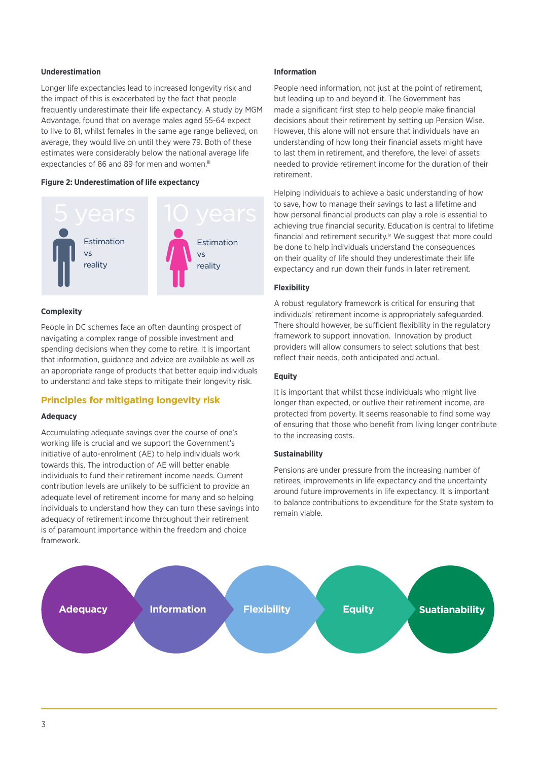# **Underestimation**

Longer life expectancies lead to increased longevity risk and the impact of this is exacerbated by the fact that people frequently underestimate their life expectancy. A study by MGM Advantage, found that on average males aged 55-64 expect to live to 81, whilst females in the same age range believed, on average, they would live on until they were 79. Both of these estimates were considerably below the national average life expectancies of 86 and 89 for men and women.<sup>iii</sup>

#### **Figure 2: Underestimation of life expectancy**



#### **Complexity**

People in DC schemes face an often daunting prospect of navigating a complex range of possible investment and spending decisions when they come to retire. It is important that information, guidance and advice are available as well as an appropriate range of products that better equip individuals to understand and take steps to mitigate their longevity risk.

# **Principles for mitigating longevity risk**

#### **Adequacy**

Accumulating adequate savings over the course of one's working life is crucial and we support the Government's initiative of auto-enrolment (AE) to help individuals work towards this. The introduction of AE will better enable individuals to fund their retirement income needs. Current contribution levels are unlikely to be sufficient to provide an adequate level of retirement income for many and so helping individuals to understand how they can turn these savings into adequacy of retirement income throughout their retirement is of paramount importance within the freedom and choice framework.

#### **Information**

People need information, not just at the point of retirement. but leading up to and beyond it. The Government has made a significant first step to help people make financial decisions about their retirement by setting up Pension Wise. However, this alone will not ensure that individuals have an understanding of how long their financial assets might have to last them in retirement, and therefore, the level of assets needed to provide retirement income for the duration of their retirement.

Helping individuals to achieve a basic understanding of how to save, how to manage their savings to last a lifetime and how personal financial products can play a role is essential to achieving true financial security. Education is central to lifetime financial and retirement security.<sup>iv</sup> We suggest that more could be done to help individuals understand the consequences on their quality of life should they underestimate their life expectancy and run down their funds in later retirement.

#### **Flexibility**

A robust regulatory framework is critical for ensuring that individuals' retirement income is appropriately safeguarded. There should however, be sufficient flexibility in the regulatory framework to support innovation. Innovation by product providers will allow consumers to select solutions that best reflect their needs, both anticipated and actual.

### **Equity**

It is important that whilst those individuals who might live longer than expected, or outlive their retirement income, are protected from poverty. It seems reasonable to find some way of ensuring that those who benefit from living longer contribute to the increasing costs.

# **Sustainability**

Pensions are under pressure from the increasing number of retirees, improvements in life expectancy and the uncertainty around future improvements in life expectancy. It is important to balance contributions to expenditure for the State system to remain viable.

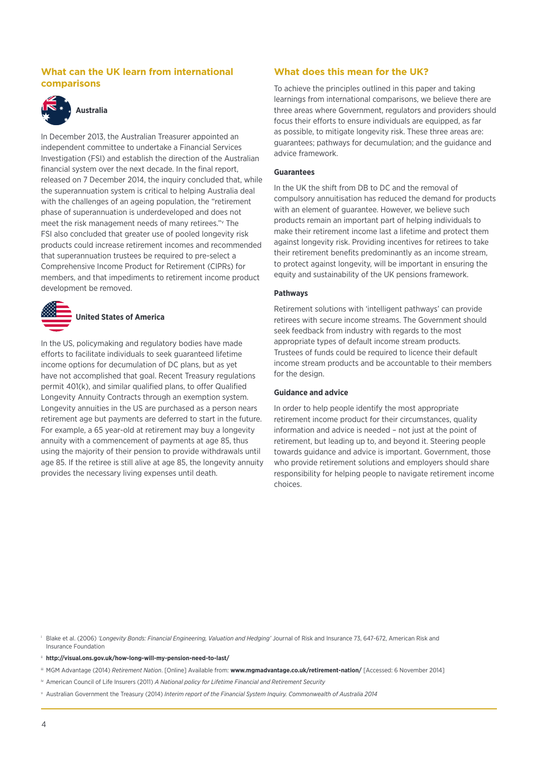# **What can the UK learn from international comparisons**



# **Australia**

In December 2013, the Australian Treasurer appointed an independent committee to undertake a Financial Services Investigation (FSI) and establish the direction of the Australian financial system over the next decade. In the final report, released on 7 December 2014, the inquiry concluded that, while the superannuation system is critical to helping Australia deal with the challenges of an ageing population, the "retirement phase of superannuation is underdeveloped and does not meet the risk management needs of many retirees."v The FSI also concluded that greater use of pooled longevity risk products could increase retirement incomes and recommended that superannuation trustees be required to pre-select a Comprehensive Income Product for Retirement (CIPRs) for members, and that impediments to retirement income product development be removed.



In the US, policymaking and regulatory bodies have made efforts to facilitate individuals to seek guaranteed lifetime income options for decumulation of DC plans, but as yet have not accomplished that goal. Recent Treasury regulations permit 401(k), and similar qualified plans, to offer Qualified Longevity Annuity Contracts through an exemption system. Longevity annuities in the US are purchased as a person nears retirement age but payments are deferred to start in the future. For example, a 65 year-old at retirement may buy a longevity annuity with a commencement of payments at age 85, thus using the majority of their pension to provide withdrawals until age 85. If the retiree is still alive at age 85, the longevity annuity provides the necessary living expenses until death.

# **What does this mean for the UK?**

To achieve the principles outlined in this paper and taking learnings from international comparisons, we believe there are three areas where Government, regulators and providers should focus their efforts to ensure individuals are equipped, as far as possible, to mitigate longevity risk. These three areas are: guarantees; pathways for decumulation; and the guidance and advice framework.

#### **Guarantees**

In the UK the shift from DB to DC and the removal of compulsory annuitisation has reduced the demand for products with an element of guarantee. However, we believe such products remain an important part of helping individuals to make their retirement income last a lifetime and protect them against longevity risk. Providing incentives for retirees to take their retirement benefits predominantly as an income stream, to protect against longevity, will be important in ensuring the equity and sustainability of the UK pensions framework.

## **Pathways**

Retirement solutions with 'intelligent pathways' can provide retirees with secure income streams. The Government should seek feedback from industry with regards to the most appropriate types of default income stream products. Trustees of funds could be required to licence their default income stream products and be accountable to their members for the design.

#### **Guidance and advice**

In order to help people identify the most appropriate retirement income product for their circumstances, quality information and advice is needed – not just at the point of retirement, but leading up to, and beyond it. Steering people towards guidance and advice is important. Government, those who provide retirement solutions and employers should share responsibility for helping people to navigate retirement income choices.

<sup>i</sup> Blake et al. (2006) *'Longevity Bonds: Financial Engineering, Valuation and Hedging'* Journal of Risk and Insurance 73, 647-672, American Risk and Insurance Foundation

ii **<http://visual.ons.gov.uk/how-long-will-my-pension-need-to-last/>**

iii MGM Advantage (2014) *Retirement Nation*. [Online] Available from: **[www.mgmadvantage.co.uk/retirement-nation/](http://www.mgmadvantage.co.uk/retirement-nation/)** [Accessed: 6 November 2014]

iv American Council of Life Insurers (2011) *A National policy for Lifetime Financial and Retirement Security*

<sup>v</sup> Australian Government the Treasury (2014) *Interim report of the Financial System Inquiry. Commonwealth of Australia 2014*